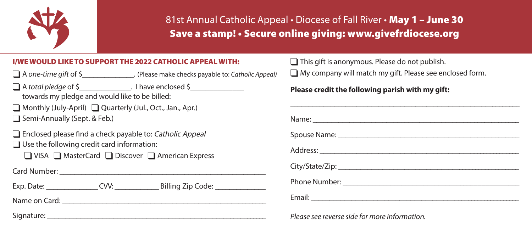

## 81st Annual Catholic Appeal • Diocese of Fall River • May 1 - June 30 Save a stamp! • Secure online giving: www.givefrdiocese.org

### I/WE WOULD LIKE TO SUPPORT THE 2022 CATHOLIC APPEAL WITH:

q A *one-time gift* of \$\_\_\_\_\_\_\_\_\_\_\_\_\_\_. (Please make checks payable to: *Catholic Appeal)*

 $\Box$  A *total pledge* of \$ Thave enclosed \$ towards my pledge and would like to be billed:

 $\Box$  Monthly (July-April)  $\Box$  Quarterly (Jul., Oct., Jan., Apr.)  $\Box$  Semi-Annually (Sept. & Feb.)

 $\Box$  Enclosed please find a check payable to: Catholic Appeal  $\Box$  Use the following credit card information:

 $\Box$  VISA  $\Box$  MasterCard  $\Box$  Discover  $\Box$  American Express

Card Number: \_\_\_\_\_\_\_\_\_\_\_\_\_\_\_\_\_\_\_\_\_\_\_\_\_\_\_\_\_\_\_\_\_\_\_\_\_\_\_\_\_\_\_\_\_\_\_\_\_\_\_\_\_\_\_\_

Exp. Date: CVV: Billing Zip Code:

Name on Card: \_\_\_\_\_\_\_\_\_\_\_\_\_\_\_\_\_\_\_\_\_\_\_\_\_\_\_\_\_\_\_\_\_\_\_\_\_\_\_\_\_\_\_\_\_\_\_\_\_\_\_\_\_\_\_\_

Signature: \_\_\_\_\_\_\_\_\_\_\_\_\_\_\_\_\_\_\_\_\_\_\_\_\_\_\_\_\_\_\_\_\_\_\_\_\_\_\_\_\_\_\_\_\_\_\_\_\_\_\_\_\_\_\_\_\_\_\_\_\_

 $\Box$  This gift is anonymous. Please do not publish.  $\Box$  My company will match my gift. Please see enclosed form.

### **Please credit the following parish with my gift:**

*Please see reverse side for more information.*